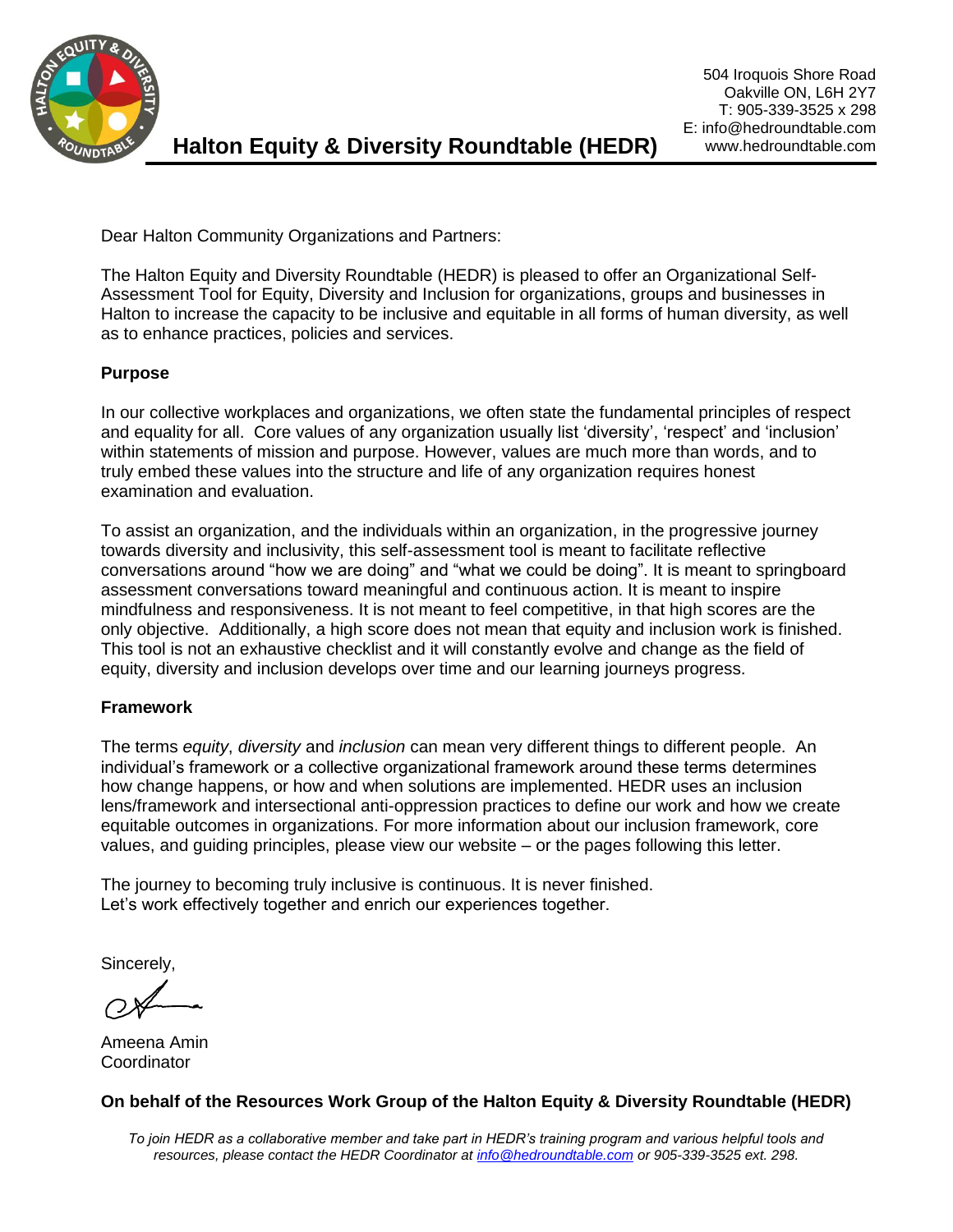

Dear Halton Community Organizations and Partners:

The Halton Equity and Diversity Roundtable (HEDR) is pleased to offer an Organizational Self-Assessment Tool for Equity, Diversity and Inclusion for organizations, groups and businesses in Halton to increase the capacity to be inclusive and equitable in all forms of human diversity, as well as to enhance practices, policies and services.

#### **Purpose**

In our collective workplaces and organizations, we often state the fundamental principles of respect and equality for all. Core values of any organization usually list 'diversity', 'respect' and 'inclusion' within statements of mission and purpose. However, values are much more than words, and to truly embed these values into the structure and life of any organization requires honest examination and evaluation.

To assist an organization, and the individuals within an organization, in the progressive journey towards diversity and inclusivity, this self-assessment tool is meant to facilitate reflective conversations around "how we are doing" and "what we could be doing". It is meant to springboard assessment conversations toward meaningful and continuous action. It is meant to inspire mindfulness and responsiveness. It is not meant to feel competitive, in that high scores are the only objective. Additionally, a high score does not mean that equity and inclusion work is finished. This tool is not an exhaustive checklist and it will constantly evolve and change as the field of equity, diversity and inclusion develops over time and our learning journeys progress.

#### **Framework**

The terms *equity*, *diversity* and *inclusion* can mean very different things to different people. An individual's framework or a collective organizational framework around these terms determines how change happens, or how and when solutions are implemented. HEDR uses an inclusion lens/framework and intersectional anti-oppression practices to define our work and how we create equitable outcomes in organizations. For more information about our inclusion framework, core values, and guiding principles, please view our website – or the pages following this letter.

The journey to becoming truly inclusive is continuous. It is never finished. Let's work effectively together and enrich our experiences together.

Sincerely,

Ameena Amin **Coordinator** 

#### **On behalf of the Resources Work Group of the Halton Equity & Diversity Roundtable (HEDR)**

*To join HEDR as a collaborative member and take part in HEDR's training program and various helpful tools and resources, please contact the HEDR Coordinator at [info@hedroundtable.com](mailto:info@hedroundtable.com) or 905-339-3525 ext. 298.*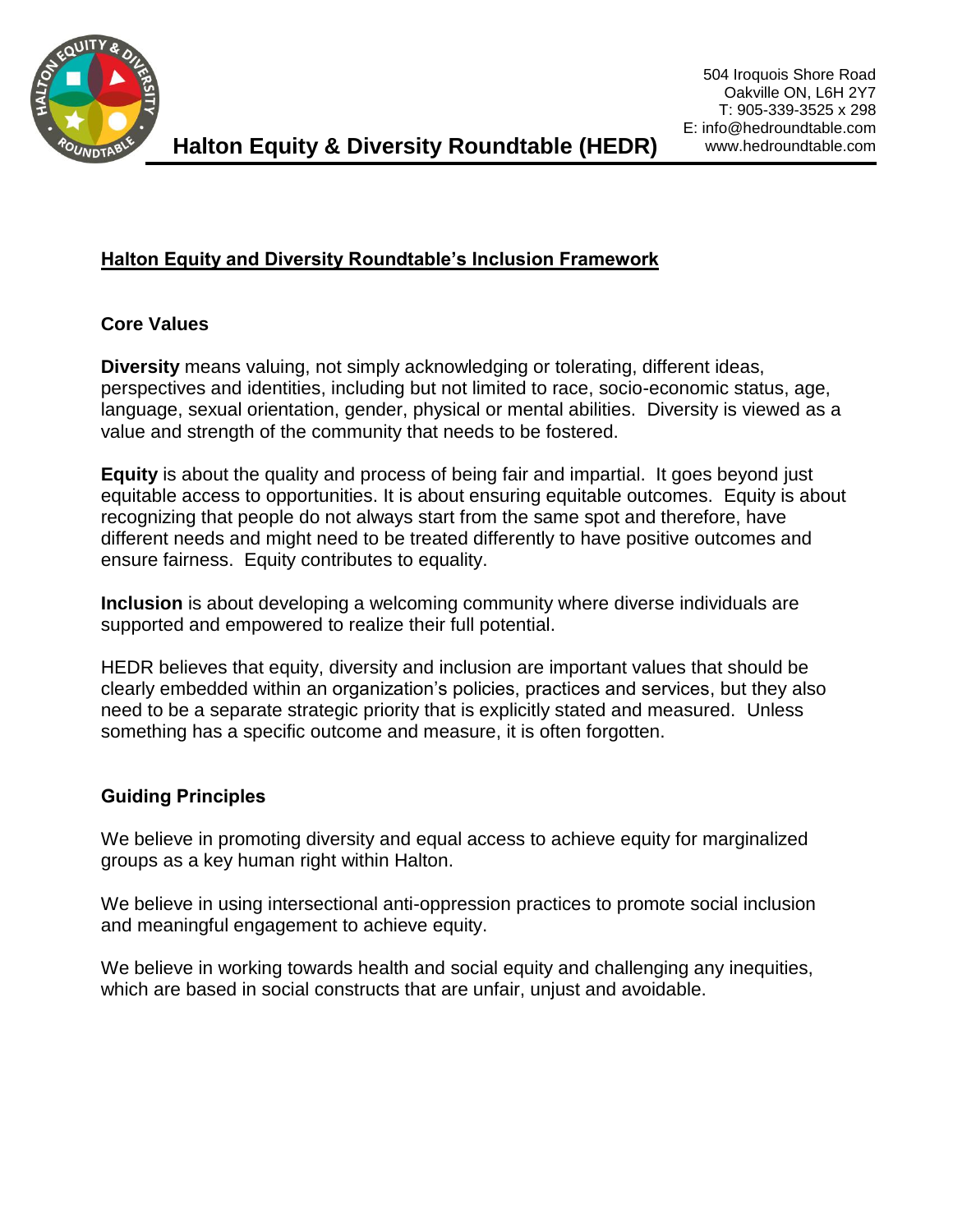

## **Halton Equity and Diversity Roundtable's Inclusion Framework**

### **Core Values**

**Diversity** means valuing, not simply acknowledging or tolerating, different ideas, perspectives and identities, including but not limited to race, socio-economic status, age, language, sexual orientation, gender, physical or mental abilities. Diversity is viewed as a value and strength of the community that needs to be fostered.

**Equity** is about the quality and process of being fair and impartial. It goes beyond just equitable access to opportunities. It is about ensuring equitable outcomes. Equity is about recognizing that people do not always start from the same spot and therefore, have different needs and might need to be treated differently to have positive outcomes and ensure fairness. Equity contributes to equality.

**Inclusion** is about developing a welcoming community where diverse individuals are supported and empowered to realize their full potential.

HEDR believes that equity, diversity and inclusion are important values that should be clearly embedded within an organization's policies, practices and services, but they also need to be a separate strategic priority that is explicitly stated and measured. Unless something has a specific outcome and measure, it is often forgotten.

## **Guiding Principles**

We believe in promoting diversity and equal access to achieve equity for marginalized groups as a key human right within Halton.

We believe in using intersectional anti-oppression practices to promote social inclusion and meaningful engagement to achieve equity.

We believe in working towards health and social equity and challenging any inequities, which are based in social constructs that are unfair, unjust and avoidable.